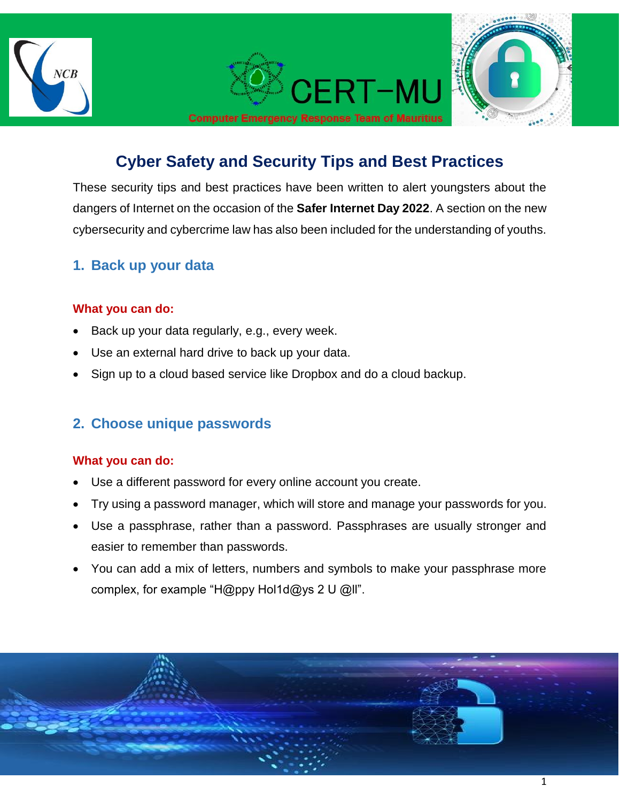

# **Cyber Safety and Security Tips and Best Practices**

These security tips and best practices have been written to alert youngsters about the dangers of Internet on the occasion of the **Safer Internet Day 2022**. A section on the new cybersecurity and cybercrime law has also been included for the understanding of youths.

### **1. Back up your data**

#### **What you can do:**

- Back up your data regularly, e.g., every week.
- Use an external hard drive to back up your data.
- Sign up to a cloud based service like Dropbox and do a cloud backup.

### **2. Choose unique passwords**

#### **What you can do:**

- Use a different password for every online account you create.
- Try using a password manager, which will store and manage your passwords for you.
- Use a passphrase, rather than a password. Passphrases are usually stronger and easier to remember than passwords.
- You can add a mix of letters, numbers and symbols to make your passphrase more complex, for example "H@ppy Hol1d@ys 2 U @ll".

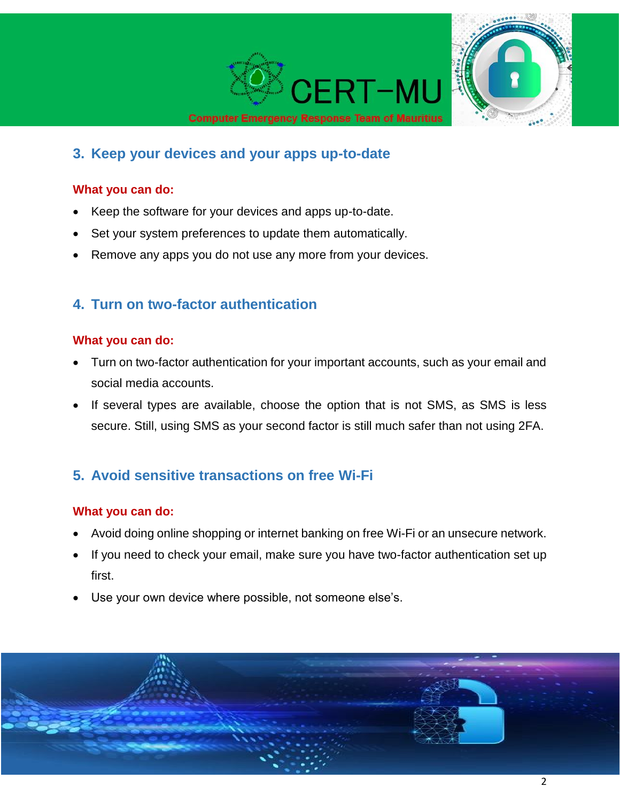

### **3. Keep your devices and your apps up-to-date**

#### **What you can do:**

- Keep the software for your devices and apps up-to-date.
- Set your system preferences to update them automatically.
- Remove any apps you do not use any more from your devices.

### **4. Turn on two-factor authentication**

#### **What you can do:**

- Turn on two-factor authentication for your important accounts, such as your email and social media accounts.
- If several types are available, choose the option that is not SMS, as SMS is less secure. Still, using SMS as your second factor is still much safer than not using 2FA.

### **5. Avoid sensitive transactions on free Wi-Fi**

#### **What you can do:**

- Avoid doing online shopping or internet banking on free Wi-Fi or an unsecure network.
- If you need to check your email, make sure you have two-factor authentication set up first.
- Use your own device where possible, not someone else's.

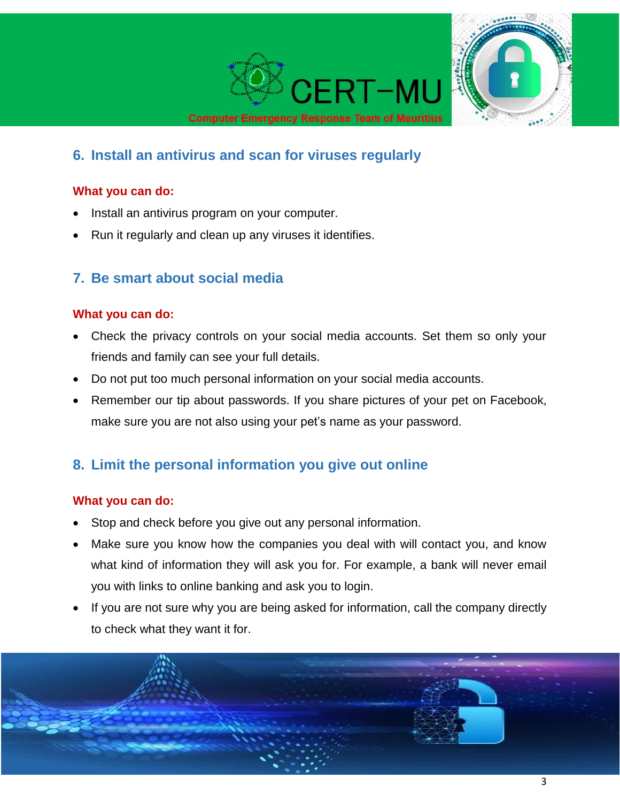

# **6. Install an antivirus and scan for viruses regularly**

#### **What you can do:**

- Install an antivirus program on your computer.
- Run it regularly and clean up any viruses it identifies.

### **7. Be smart about social media**

#### **What you can do:**

- Check the privacy controls on your social media accounts. Set them so only your friends and family can see your full details.
- Do not put too much personal information on your social media accounts.
- Remember our tip about passwords. If you share pictures of your pet on Facebook, make sure you are not also using your pet's name as your password.

# **8. Limit the personal information you give out online**

#### **What you can do:**

- Stop and check before you give out any personal information.
- Make sure you know how the companies you deal with will contact you, and know what kind of information they will ask you for. For example, a bank will never email you with links to online banking and ask you to login.
- If you are not sure why you are being asked for information, call the company directly to check what they want it for.

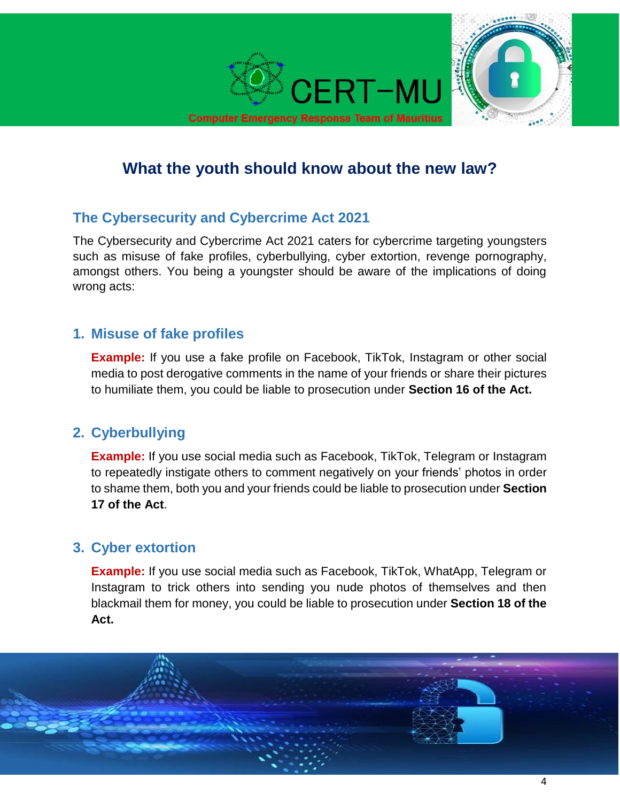

# **What the youth should know about the new law?**

### **The Cybersecurity and Cybercrime Act 2021**

The Cybersecurity and Cybercrime Act 2021 caters for cybercrime targeting youngsters such as misuse of fake profiles, cyberbullying, cyber extortion, revenge pornography, amongst others. You being a youngster should be aware of the implications of doing wrong acts:

### **1. Misuse of fake profiles**

**Example:** If you use a fake profile on Facebook, TikTok, Instagram or other social media to post derogative comments in the name of your friends or share their pictures to humiliate them, you could be liable to prosecution under **Section 16 of the Act.**

# **2. Cyberbullying**

**Example:** If you use social media such as Facebook, TikTok, Telegram or Instagram to repeatedly instigate others to comment negatively on your friends' photos in order to shame them, both you and your friends could be liable to prosecution under **Section 17 of the Act**.

# **3. Cyber extortion**

**Example:** If you use social media such as Facebook, TikTok, WhatApp, Telegram or Instagram to trick others into sending you nude photos of themselves and then blackmail them for money, you could be liable to prosecution under **Section 18 of the Act.**